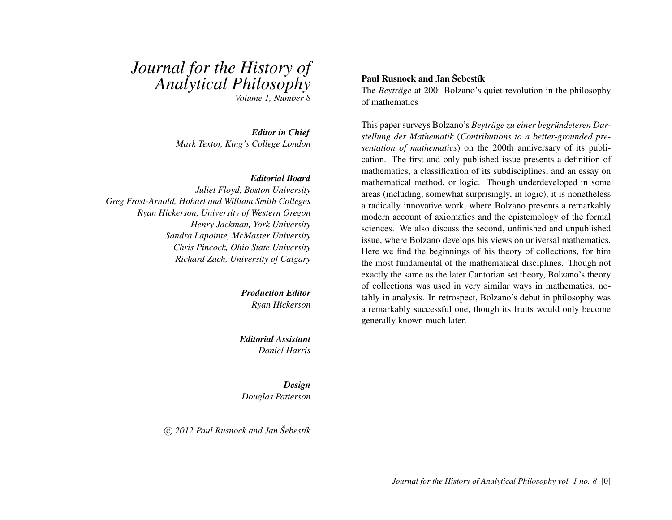# *Journal for the History of Analytical Philosophy*

*Volume 1, Number 8*

*Editor in Chief Mark Textor, King's College London*

#### *Editorial Board*

*Juliet Floyd, Boston University Greg Frost-Arnold, Hobart and William Smith Colleges Ryan Hickerson, University of Western Oregon Henry Jackman, York University Sandra Lapointe, McMaster University Chris Pincock, Ohio State University Richard Zach, University of Calgary*

> *Production Editor Ryan Hickerson*

*Editorial Assistant Daniel Harris*

*Design Douglas Patterson*

 $\circ$  *(c)* 2012 Paul Rusnock and Jan Sebestik

#### Paul Rusnock and Jan Sebestík

The *Beyträge* at 200: Bolzano's quiet revolution in the philosophy of mathematics

This paper surveys Bolzano's *Beyträge zu einer begründeteren Darstellung der Mathematik* (*Contributions to a better-grounded presentation of mathematics*) on the 200th anniversary of its publication. The first and only published issue presents a definition of mathematics, a classification of its subdisciplines, and an essay on mathematical method, or logic. Though underdeveloped in some areas (including, somewhat surprisingly, in logic), it is nonetheless a radically innovative work, where Bolzano presents a remarkably modern account of axiomatics and the epistemology of the formal sciences. We also discuss the second, unfinished and unpublished issue, where Bolzano develops his views on universal mathematics. Here we find the beginnings of his theory of collections, for him the most fundamental of the mathematical disciplines. Though not exactly the same as the later Cantorian set theory, Bolzano's theory of collections was used in very similar ways in mathematics, notably in analysis. In retrospect, Bolzano's debut in philosophy was a remarkably successful one, though its fruits would only become generally known much later.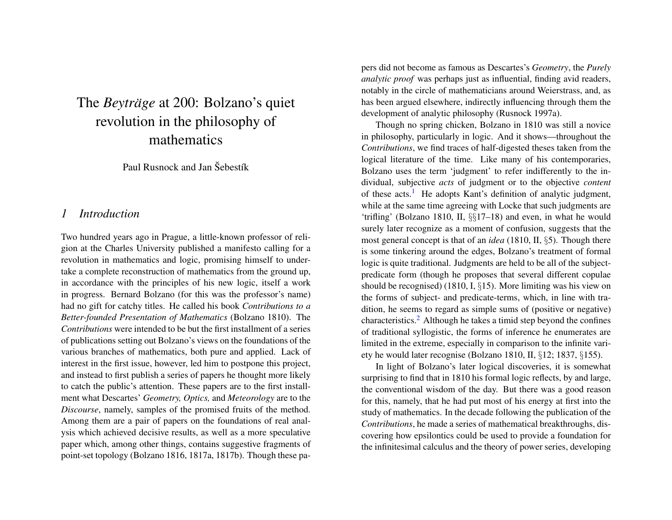## The *Beyträge* at 200: Bolzano's quiet revolution in the philosophy of mathematics

Paul Rusnock and Jan Sebestik

#### *1 Introduction*

Two hundred years ago in Prague, a little-known professor of religion at the Charles University published a manifesto calling for a revolution in mathematics and logic, promising himself to undertake a complete reconstruction of mathematics from the ground up, in accordance with the principles of his new logic, itself a work in progress. Bernard Bolzano (for this was the professor's name) had no gift for catchy titles. He called his book *Contributions to a Better-founded Presentation of Mathematics* (Bolzano 1810). The *Contributions* were intended to be but the first installment of a series of publications setting out Bolzano's views on the foundations of the various branches of mathematics, both pure and applied. Lack of interest in the first issue, however, led him to postpone this project, and instead to first publish a series of papers he thought more likely to catch the public's attention. These papers are to the first installment what Descartes' *Geometry, Optics,* and *Meteorology* are to the *Discourse*, namely, samples of the promised fruits of the method. Among them are a pair of papers on the foundations of real analysis which achieved decisive results, as well as a more speculative paper which, among other things, contains suggestive fragments of point-set topology (Bolzano 1816, 1817a, 1817b). Though these papers did not become as famous as Descartes's *Geometry*, the *Purely analytic proof* was perhaps just as influential, finding avid readers, notably in the circle of mathematicians around Weierstrass, and, as has been argued elsewhere, indirectly influencing through them the development of analytic philosophy (Rusnock 1997a).

<span id="page-1-0"></span>Though no spring chicken, Bolzano in 1810 was still a novice in philosophy, particularly in logic. And it shows—throughout the *Contributions*, we find traces of half-digested theses taken from the logical literature of the time. Like many of his contemporaries, Bolzano uses the term 'judgment' to refer indifferently to the individual, subjective *acts* of judgment or to the objective *content* of these acts.<sup>[1](#page-12-0)</sup> He adopts Kant's definition of analytic judgment, while at the same time agreeing with Locke that such judgments are 'trifling' (Bolzano 1810, II, §§17–18) and even, in what he would surely later recognize as a moment of confusion, suggests that the most general concept is that of an *idea* (1810, II, §5). Though there is some tinkering around the edges, Bolzano's treatment of formal logic is quite traditional. Judgments are held to be all of the subjectpredicate form (though he proposes that several different copulae should be recognised) (1810, I, §15). More limiting was his view on the forms of subject- and predicate-terms, which, in line with tradition, he seems to regard as simple sums of (positive or negative) characteristics.[2](#page-12-1) Although he takes a timid step beyond the confines of traditional syllogistic, the forms of inference he enumerates are limited in the extreme, especially in comparison to the infinite variety he would later recognise (Bolzano 1810, II, §12; 1837, §155).

<span id="page-1-1"></span>In light of Bolzano's later logical discoveries, it is somewhat surprising to find that in 1810 his formal logic reflects, by and large, the conventional wisdom of the day. But there was a good reason for this, namely, that he had put most of his energy at first into the study of mathematics. In the decade following the publication of the *Contributions*, he made a series of mathematical breakthroughs, discovering how epsilontics could be used to provide a foundation for the infinitesimal calculus and the theory of power series, developing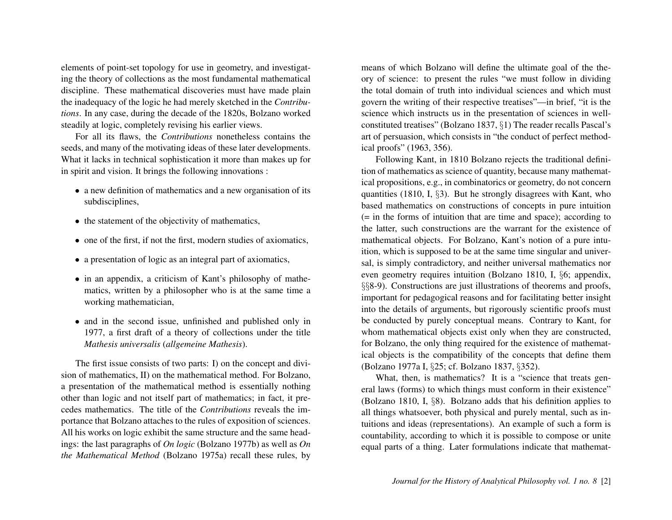elements of point-set topology for use in geometry, and investigating the theory of collections as the most fundamental mathematical discipline. These mathematical discoveries must have made plain the inadequacy of the logic he had merely sketched in the *Contributions*. In any case, during the decade of the 1820s, Bolzano worked steadily at logic, completely revising his earlier views.

For all its flaws, the *Contributions* nonetheless contains the seeds, and many of the motivating ideas of these later developments. What it lacks in technical sophistication it more than makes up for in spirit and vision. It brings the following innovations :

- a new definition of mathematics and a new organisation of its subdisciplines,
- the statement of the objectivity of mathematics,
- one of the first, if not the first, modern studies of axiomatics,
- a presentation of logic as an integral part of axiomatics,
- in an appendix, a criticism of Kant's philosophy of mathematics, written by a philosopher who is at the same time a working mathematician,
- and in the second issue, unfinished and published only in 1977, a first draft of a theory of collections under the title *Mathesis universalis* (*allgemeine Mathesis*).

The first issue consists of two parts: I) on the concept and division of mathematics, II) on the mathematical method. For Bolzano, a presentation of the mathematical method is essentially nothing other than logic and not itself part of mathematics; in fact, it precedes mathematics. The title of the *Contributions* reveals the importance that Bolzano attaches to the rules of exposition of sciences. All his works on logic exhibit the same structure and the same headings: the last paragraphs of *On logic* (Bolzano 1977b) as well as *On the Mathematical Method* (Bolzano 1975a) recall these rules, by

means of which Bolzano will define the ultimate goal of the theory of science: to present the rules "we must follow in dividing the total domain of truth into individual sciences and which must govern the writing of their respective treatises"—in brief, "it is the science which instructs us in the presentation of sciences in wellconstituted treatises" (Bolzano 1837, §1) The reader recalls Pascal's art of persuasion, which consists in "the conduct of perfect methodical proofs" (1963, 356).

Following Kant, in 1810 Bolzano rejects the traditional definition of mathematics as science of quantity, because many mathematical propositions, e.g., in combinatorics or geometry, do not concern quantities (1810, I, §3). But he strongly disagrees with Kant, who based mathematics on constructions of concepts in pure intuition  $(=$  in the forms of intuition that are time and space); according to the latter, such constructions are the warrant for the existence of mathematical objects. For Bolzano, Kant's notion of a pure intuition, which is supposed to be at the same time singular and universal, is simply contradictory, and neither universal mathematics nor even geometry requires intuition (Bolzano 1810, I, §6; appendix, §§8-9). Constructions are just illustrations of theorems and proofs, important for pedagogical reasons and for facilitating better insight into the details of arguments, but rigorously scientific proofs must be conducted by purely conceptual means. Contrary to Kant, for whom mathematical objects exist only when they are constructed, for Bolzano, the only thing required for the existence of mathematical objects is the compatibility of the concepts that define them (Bolzano 1977a I, §25; cf. Bolzano 1837, §352).

What, then, is mathematics? It is a "science that treats general laws (forms) to which things must conform in their existence" (Bolzano 1810, I, §8). Bolzano adds that his definition applies to all things whatsoever, both physical and purely mental, such as intuitions and ideas (representations). An example of such a form is countability, according to which it is possible to compose or unite equal parts of a thing. Later formulations indicate that mathemat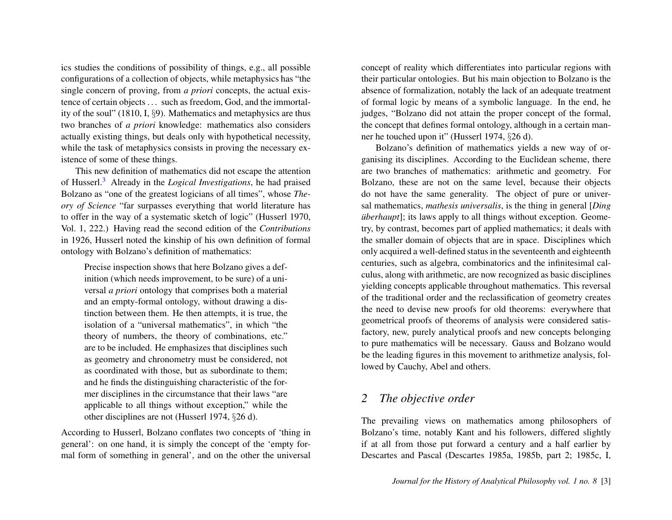ics studies the conditions of possibility of things, e.g., all possible configurations of a collection of objects, while metaphysics has "the single concern of proving, from *a priori* concepts, the actual existence of certain objects . . . such as freedom, God, and the immortality of the soul" (1810, I, §9). Mathematics and metaphysics are thus two branches of *a priori* knowledge: mathematics also considers actually existing things, but deals only with hypothetical necessity, while the task of metaphysics consists in proving the necessary existence of some of these things.

<span id="page-3-0"></span>This new definition of mathematics did not escape the attention of Husserl.[3](#page-12-2) Already in the *Logical Investigations*, he had praised Bolzano as "one of the greatest logicians of all times", whose *Theory of Science* "far surpasses everything that world literature has to offer in the way of a systematic sketch of logic" (Husserl 1970, Vol. 1, 222.) Having read the second edition of the *Contributions* in 1926, Husserl noted the kinship of his own definition of formal ontology with Bolzano's definition of mathematics:

Precise inspection shows that here Bolzano gives a definition (which needs improvement, to be sure) of a universal *a priori* ontology that comprises both a material and an empty-formal ontology, without drawing a distinction between them. He then attempts, it is true, the isolation of a "universal mathematics", in which "the theory of numbers, the theory of combinations, etc." are to be included. He emphasizes that disciplines such as geometry and chronometry must be considered, not as coordinated with those, but as subordinate to them; and he finds the distinguishing characteristic of the former disciplines in the circumstance that their laws "are applicable to all things without exception," while the other disciplines are not (Husserl 1974, §26 d).

According to Husserl, Bolzano conflates two concepts of 'thing in general': on one hand, it is simply the concept of the 'empty formal form of something in general', and on the other the universal concept of reality which differentiates into particular regions with their particular ontologies. But his main objection to Bolzano is the absence of formalization, notably the lack of an adequate treatment of formal logic by means of a symbolic language. In the end, he judges, "Bolzano did not attain the proper concept of the formal, the concept that defines formal ontology, although in a certain manner he touched upon it" (Husserl 1974, §26 d).

Bolzano's definition of mathematics yields a new way of organising its disciplines. According to the Euclidean scheme, there are two branches of mathematics: arithmetic and geometry. For Bolzano, these are not on the same level, because their objects do not have the same generality. The object of pure or universal mathematics, *mathesis universalis*, is the thing in general [*Ding überhaupt*]; its laws apply to all things without exception. Geometry, by contrast, becomes part of applied mathematics; it deals with the smaller domain of objects that are in space. Disciplines which only acquired a well-defined status in the seventeenth and eighteenth centuries, such as algebra, combinatorics and the infinitesimal calculus, along with arithmetic, are now recognized as basic disciplines yielding concepts applicable throughout mathematics. This reversal of the traditional order and the reclassification of geometry creates the need to devise new proofs for old theorems: everywhere that geometrical proofs of theorems of analysis were considered satisfactory, new, purely analytical proofs and new concepts belonging to pure mathematics will be necessary. Gauss and Bolzano would be the leading figures in this movement to arithmetize analysis, followed by Cauchy, Abel and others.

## *2 The objective order*

The prevailing views on mathematics among philosophers of Bolzano's time, notably Kant and his followers, differed slightly if at all from those put forward a century and a half earlier by Descartes and Pascal (Descartes 1985a, 1985b, part 2; 1985c, I,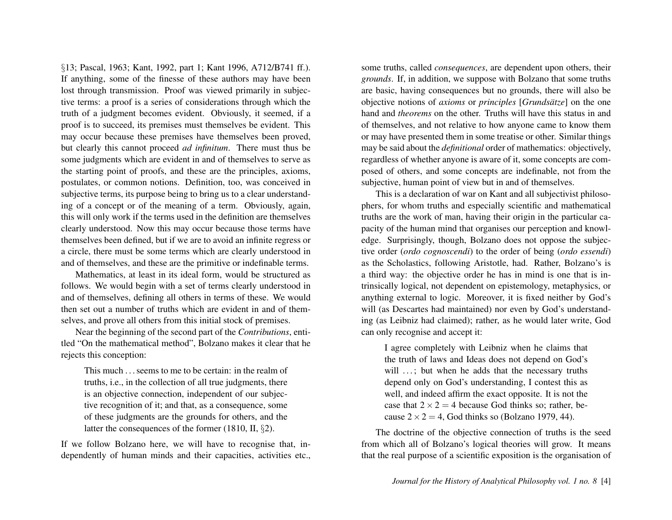§13; Pascal, 1963; Kant, 1992, part 1; Kant 1996, A712/B741 ff.). If anything, some of the finesse of these authors may have been lost through transmission. Proof was viewed primarily in subjective terms: a proof is a series of considerations through which the truth of a judgment becomes evident. Obviously, it seemed, if a proof is to succeed, its premises must themselves be evident. This may occur because these premises have themselves been proved, but clearly this cannot proceed *ad infinitum*. There must thus be some judgments which are evident in and of themselves to serve as the starting point of proofs, and these are the principles, axioms, postulates, or common notions. Definition, too, was conceived in subjective terms, its purpose being to bring us to a clear understanding of a concept or of the meaning of a term. Obviously, again, this will only work if the terms used in the definition are themselves clearly understood. Now this may occur because those terms have themselves been defined, but if we are to avoid an infinite regress or a circle, there must be some terms which are clearly understood in and of themselves, and these are the primitive or indefinable terms.

Mathematics, at least in its ideal form, would be structured as follows. We would begin with a set of terms clearly understood in and of themselves, defining all others in terms of these. We would then set out a number of truths which are evident in and of themselves, and prove all others from this initial stock of premises.

Near the beginning of the second part of the *Contributions*, entitled "On the mathematical method", Bolzano makes it clear that he rejects this conception:

This much . . . seems to me to be certain: in the realm of truths, i.e., in the collection of all true judgments, there is an objective connection, independent of our subjective recognition of it; and that, as a consequence, some of these judgments are the grounds for others, and the latter the consequences of the former (1810, II, §2).

If we follow Bolzano here, we will have to recognise that, independently of human minds and their capacities, activities etc., some truths, called *consequences*, are dependent upon others, their *grounds*. If, in addition, we suppose with Bolzano that some truths are basic, having consequences but no grounds, there will also be objective notions of *axioms* or *principles* [*Grundsätze*] on the one hand and *theorems* on the other. Truths will have this status in and of themselves, and not relative to how anyone came to know them or may have presented them in some treatise or other. Similar things may be said about the *definitional* order of mathematics: objectively, regardless of whether anyone is aware of it, some concepts are composed of others, and some concepts are indefinable, not from the subjective, human point of view but in and of themselves.

This is a declaration of war on Kant and all subjectivist philosophers, for whom truths and especially scientific and mathematical truths are the work of man, having their origin in the particular capacity of the human mind that organises our perception and knowledge. Surprisingly, though, Bolzano does not oppose the subjective order (*ordo cognoscendi*) to the order of being (*ordo essendi*) as the Scholastics, following Aristotle, had. Rather, Bolzano's is a third way: the objective order he has in mind is one that is intrinsically logical, not dependent on epistemology, metaphysics, or anything external to logic. Moreover, it is fixed neither by God's will (as Descartes had maintained) nor even by God's understanding (as Leibniz had claimed); rather, as he would later write, God can only recognise and accept it:

I agree completely with Leibniz when he claims that the truth of laws and Ideas does not depend on God's will ...; but when he adds that the necessary truths depend only on God's understanding, I contest this as well, and indeed affirm the exact opposite. It is not the case that  $2 \times 2 = 4$  because God thinks so; rather, because  $2 \times 2 = 4$ , God thinks so (Bolzano 1979, 44).

The doctrine of the objective connection of truths is the seed from which all of Bolzano's logical theories will grow. It means that the real purpose of a scientific exposition is the organisation of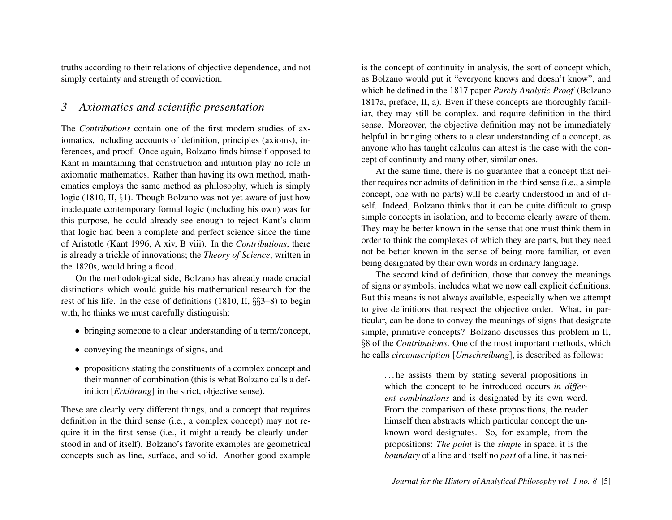truths according to their relations of objective dependence, and not simply certainty and strength of conviction.

## *3 Axiomatics and scientific presentation*

The *Contributions* contain one of the first modern studies of axiomatics, including accounts of definition, principles (axioms), inferences, and proof. Once again, Bolzano finds himself opposed to Kant in maintaining that construction and intuition play no role in axiomatic mathematics. Rather than having its own method, mathematics employs the same method as philosophy, which is simply logic (1810, II, §1). Though Bolzano was not yet aware of just how inadequate contemporary formal logic (including his own) was for this purpose, he could already see enough to reject Kant's claim that logic had been a complete and perfect science since the time of Aristotle (Kant 1996, A xiv, B viii). In the *Contributions*, there is already a trickle of innovations; the *Theory of Science*, written in the 1820s, would bring a flood.

On the methodological side, Bolzano has already made crucial distinctions which would guide his mathematical research for the rest of his life. In the case of definitions (1810, II, §§3–8) to begin with, he thinks we must carefully distinguish:

- bringing someone to a clear understanding of a term/concept,
- conveying the meanings of signs, and
- propositions stating the constituents of a complex concept and their manner of combination (this is what Bolzano calls a definition [*Erklärung*] in the strict, objective sense).

These are clearly very different things, and a concept that requires definition in the third sense (i.e., a complex concept) may not require it in the first sense (i.e., it might already be clearly understood in and of itself). Bolzano's favorite examples are geometrical concepts such as line, surface, and solid. Another good example

is the concept of continuity in analysis, the sort of concept which, as Bolzano would put it "everyone knows and doesn't know", and which he defined in the 1817 paper *Purely Analytic Proof* (Bolzano 1817a, preface, II, a). Even if these concepts are thoroughly familiar, they may still be complex, and require definition in the third sense. Moreover, the objective definition may not be immediately helpful in bringing others to a clear understanding of a concept, as anyone who has taught calculus can attest is the case with the concept of continuity and many other, similar ones.

At the same time, there is no guarantee that a concept that neither requires nor admits of definition in the third sense (i.e., a simple concept, one with no parts) will be clearly understood in and of itself. Indeed, Bolzano thinks that it can be quite difficult to grasp simple concepts in isolation, and to become clearly aware of them. They may be better known in the sense that one must think them in order to think the complexes of which they are parts, but they need not be better known in the sense of being more familiar, or even being designated by their own words in ordinary language.

The second kind of definition, those that convey the meanings of signs or symbols, includes what we now call explicit definitions. But this means is not always available, especially when we attempt to give definitions that respect the objective order. What, in particular, can be done to convey the meanings of signs that designate simple, primitive concepts? Bolzano discusses this problem in II, §8 of the *Contributions*. One of the most important methods, which he calls *circumscription* [*Umschreibung*], is described as follows:

. . . he assists them by stating several propositions in which the concept to be introduced occurs *in different combinations* and is designated by its own word. From the comparison of these propositions, the reader himself then abstracts which particular concept the unknown word designates. So, for example, from the propositions: *The point* is the *simple* in space, it is the *boundary* of a line and itself no *part* of a line, it has nei-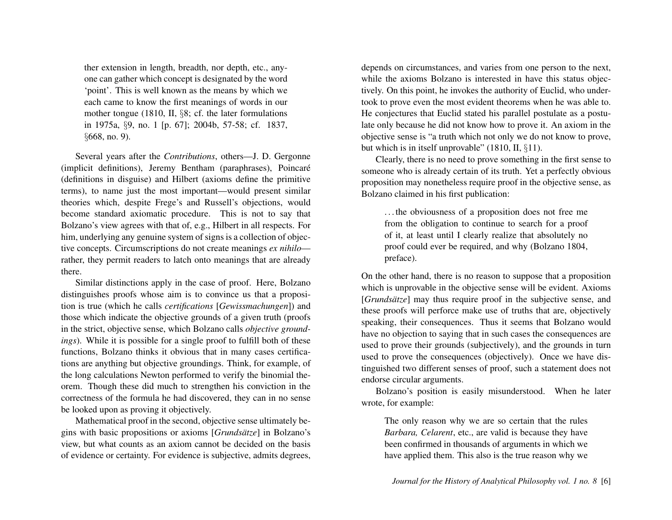ther extension in length, breadth, nor depth, etc., anyone can gather which concept is designated by the word 'point'. This is well known as the means by which we each came to know the first meanings of words in our mother tongue (1810, II, §8; cf. the later formulations in 1975a, §9, no. 1 [p. 67]; 2004b, 57-58; cf. 1837, §668, no. 9).

Several years after the *Contributions*, others—J. D. Gergonne (implicit definitions), Jeremy Bentham (paraphrases), Poincaré (definitions in disguise) and Hilbert (axioms define the primitive terms), to name just the most important—would present similar theories which, despite Frege's and Russell's objections, would become standard axiomatic procedure. This is not to say that Bolzano's view agrees with that of, e.g., Hilbert in all respects. For him, underlying any genuine system of signs is a collection of objective concepts. Circumscriptions do not create meanings *ex nihilo* rather, they permit readers to latch onto meanings that are already there.

Similar distinctions apply in the case of proof. Here, Bolzano distinguishes proofs whose aim is to convince us that a proposition is true (which he calls *certifications* [*Gewissmachungen*]) and those which indicate the objective grounds of a given truth (proofs in the strict, objective sense, which Bolzano calls *objective groundings*). While it is possible for a single proof to fulfill both of these functions, Bolzano thinks it obvious that in many cases certifications are anything but objective groundings. Think, for example, of the long calculations Newton performed to verify the binomial theorem. Though these did much to strengthen his conviction in the correctness of the formula he had discovered, they can in no sense be looked upon as proving it objectively.

Mathematical proof in the second, objective sense ultimately begins with basic propositions or axioms [*Grundsätze*] in Bolzano's view, but what counts as an axiom cannot be decided on the basis of evidence or certainty. For evidence is subjective, admits degrees,

depends on circumstances, and varies from one person to the next, while the axioms Bolzano is interested in have this status objectively. On this point, he invokes the authority of Euclid, who undertook to prove even the most evident theorems when he was able to. He conjectures that Euclid stated his parallel postulate as a postulate only because he did not know how to prove it. An axiom in the objective sense is "a truth which not only we do not know to prove, but which is in itself unprovable" (1810, II, §11).

Clearly, there is no need to prove something in the first sense to someone who is already certain of its truth. Yet a perfectly obvious proposition may nonetheless require proof in the objective sense, as Bolzano claimed in his first publication:

. . . the obviousness of a proposition does not free me from the obligation to continue to search for a proof of it, at least until I clearly realize that absolutely no proof could ever be required, and why (Bolzano 1804, preface).

On the other hand, there is no reason to suppose that a proposition which is unprovable in the objective sense will be evident. Axioms [*Grundsätze*] may thus require proof in the subjective sense, and these proofs will perforce make use of truths that are, objectively speaking, their consequences. Thus it seems that Bolzano would have no objection to saying that in such cases the consequences are used to prove their grounds (subjectively), and the grounds in turn used to prove the consequences (objectively). Once we have distinguished two different senses of proof, such a statement does not endorse circular arguments.

Bolzano's position is easily misunderstood. When he later wrote, for example:

The only reason why we are so certain that the rules *Barbara, Celarent*, etc., are valid is because they have been confirmed in thousands of arguments in which we have applied them. This also is the true reason why we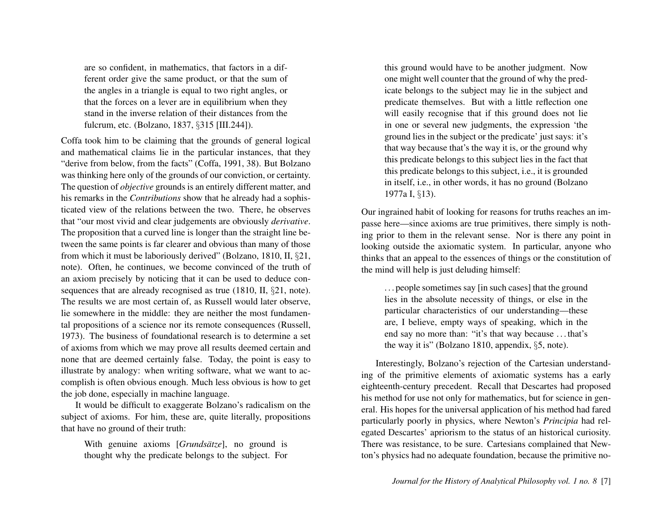are so confident, in mathematics, that factors in a different order give the same product, or that the sum of the angles in a triangle is equal to two right angles, or that the forces on a lever are in equilibrium when they stand in the inverse relation of their distances from the fulcrum, etc. (Bolzano, 1837, §315 [III.244]).

Coffa took him to be claiming that the grounds of general logical and mathematical claims lie in the particular instances, that they "derive from below, from the facts" (Coffa, 1991, 38). But Bolzano was thinking here only of the grounds of our conviction, or certainty. The question of *objective* grounds is an entirely different matter, and his remarks in the *Contributions* show that he already had a sophisticated view of the relations between the two. There, he observes that "our most vivid and clear judgements are obviously *derivative*. The proposition that a curved line is longer than the straight line between the same points is far clearer and obvious than many of those from which it must be laboriously derived" (Bolzano, 1810, II, §21, note). Often, he continues, we become convinced of the truth of an axiom precisely by noticing that it can be used to deduce consequences that are already recognised as true (1810, II, §21, note). The results we are most certain of, as Russell would later observe, lie somewhere in the middle: they are neither the most fundamental propositions of a science nor its remote consequences (Russell, 1973). The business of foundational research is to determine a set of axioms from which we may prove all results deemed certain and none that are deemed certainly false. Today, the point is easy to illustrate by analogy: when writing software, what we want to accomplish is often obvious enough. Much less obvious is how to get the job done, especially in machine language.

It would be difficult to exaggerate Bolzano's radicalism on the subject of axioms. For him, these are, quite literally, propositions that have no ground of their truth:

With genuine axioms [*Grundsätze*], no ground is thought why the predicate belongs to the subject. For this ground would have to be another judgment. Now one might well counter that the ground of why the predicate belongs to the subject may lie in the subject and predicate themselves. But with a little reflection one will easily recognise that if this ground does not lie in one or several new judgments, the expression 'the ground lies in the subject or the predicate' just says: it's that way because that's the way it is, or the ground why this predicate belongs to this subject lies in the fact that this predicate belongs to this subject, i.e., it is grounded in itself, i.e., in other words, it has no ground (Bolzano 1977a I, §13).

Our ingrained habit of looking for reasons for truths reaches an impasse here—since axioms are true primitives, there simply is nothing prior to them in the relevant sense. Nor is there any point in looking outside the axiomatic system. In particular, anyone who thinks that an appeal to the essences of things or the constitution of the mind will help is just deluding himself:

. . . people sometimes say [in such cases] that the ground lies in the absolute necessity of things, or else in the particular characteristics of our understanding—these are, I believe, empty ways of speaking, which in the end say no more than: "it's that way because . . . that's the way it is" (Bolzano 1810, appendix, §5, note).

Interestingly, Bolzano's rejection of the Cartesian understanding of the primitive elements of axiomatic systems has a early eighteenth-century precedent. Recall that Descartes had proposed his method for use not only for mathematics, but for science in general. His hopes for the universal application of his method had fared particularly poorly in physics, where Newton's *Principia* had relegated Descartes' apriorism to the status of an historical curiosity. There was resistance, to be sure. Cartesians complained that Newton's physics had no adequate foundation, because the primitive no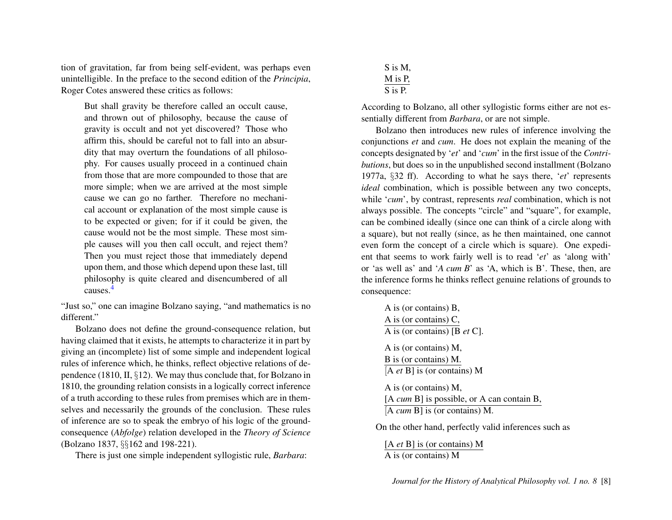tion of gravitation, far from being self-evident, was perhaps even unintelligible. In the preface to the second edition of the *Principia*, Roger Cotes answered these critics as follows:

But shall gravity be therefore called an occult cause, and thrown out of philosophy, because the cause of gravity is occult and not yet discovered? Those who affirm this, should be careful not to fall into an absurdity that may overturn the foundations of all philosophy. For causes usually proceed in a continued chain from those that are more compounded to those that are more simple; when we are arrived at the most simple cause we can go no farther. Therefore no mechanical account or explanation of the most simple cause is to be expected or given; for if it could be given, the cause would not be the most simple. These most simple causes will you then call occult, and reject them? Then you must reject those that immediately depend upon them, and those which depend upon these last, till philosophy is quite cleared and disencumbered of all causes.[4](#page-12-3)

<span id="page-8-0"></span>"Just so," one can imagine Bolzano saying, "and mathematics is no different."

Bolzano does not define the ground-consequence relation, but having claimed that it exists, he attempts to characterize it in part by giving an (incomplete) list of some simple and independent logical rules of inference which, he thinks, reflect objective relations of dependence (1810, II, §12). We may thus conclude that, for Bolzano in 1810, the grounding relation consists in a logically correct inference of a truth according to these rules from premises which are in themselves and necessarily the grounds of the conclusion. These rules of inference are so to speak the embryo of his logic of the groundconsequence (*Abfolge*) relation developed in the *Theory of Science* (Bolzano 1837, §§162 and 198-221).

There is just one simple independent syllogistic rule, *Barbara*:

S is M, M is P,  $\overline{S}$  is  $\overline{P}$ .

According to Bolzano, all other syllogistic forms either are not essentially different from *Barbara*, or are not simple.

Bolzano then introduces new rules of inference involving the conjunctions *et* and *cum*. He does not explain the meaning of the concepts designated by '*et*' and '*cum*' in the first issue of the *Contributions*, but does so in the unpublished second installment (Bolzano 1977a, §32 ff). According to what he says there, '*et*' represents *ideal* combination, which is possible between any two concepts, while '*cum*', by contrast, represents *real* combination, which is not always possible. The concepts "circle" and "square", for example, can be combined ideally (since one can think of a circle along with a square), but not really (since, as he then maintained, one cannot even form the concept of a circle which is square). One expedient that seems to work fairly well is to read '*et*' as 'along with' or 'as well as' and '*A cum B*' as 'A, which is B'. These, then, are the inference forms he thinks reflect genuine relations of grounds to consequence:

A is (or contains) B, A is (or contains) C, A is (or contains) [B *et* C]. A is (or contains) M, B is (or contains) M. [A *et* B] is (or contains) M A is (or contains) M, [A *cum* B] is possible, or A can contain B, [A *cum* B] is (or contains) M.

On the other hand, perfectly valid inferences such as

[A *et* B] is (or contains) M A is (or contains) M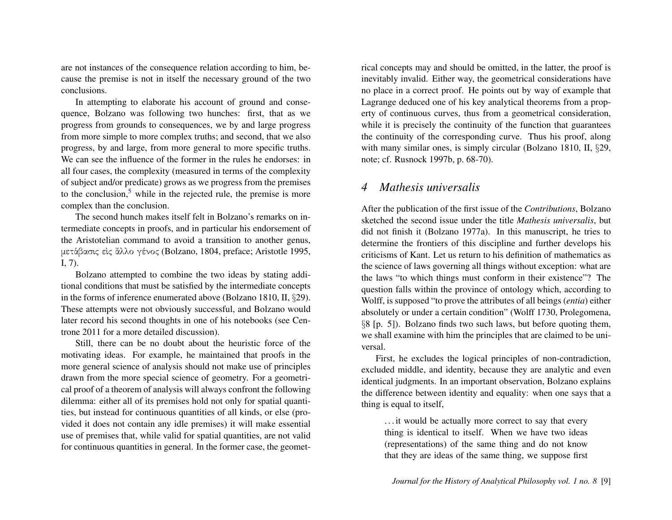are not instances of the consequence relation according to him, because the premise is not in itself the necessary ground of the two conclusions.

In attempting to elaborate his account of ground and consequence, Bolzano was following two hunches: first, that as we progress from grounds to consequences, we by and large progress from more simple to more complex truths; and second, that we also progress, by and large, from more general to more specific truths. We can see the influence of the former in the rules he endorses: in all four cases, the complexity (measured in terms of the complexity of subject and/or predicate) grows as we progress from the premises to the conclusion, $5$  while in the rejected rule, the premise is more complex than the conclusion.

<span id="page-9-0"></span>The second hunch makes itself felt in Bolzano's remarks on intermediate concepts in proofs, and in particular his endorsement of the Aristotelian command to avoid a transition to another genus, μετάβασις είς ἄλλο γένος (Bolzano, 1804, preface; Aristotle 1995, I, 7).

Bolzano attempted to combine the two ideas by stating additional conditions that must be satisfied by the intermediate concepts in the forms of inference enumerated above (Bolzano 1810, II, §29). These attempts were not obviously successful, and Bolzano would later record his second thoughts in one of his notebooks (see Centrone 2011 for a more detailed discussion).

Still, there can be no doubt about the heuristic force of the motivating ideas. For example, he maintained that proofs in the more general science of analysis should not make use of principles drawn from the more special science of geometry. For a geometrical proof of a theorem of analysis will always confront the following dilemma: either all of its premises hold not only for spatial quantities, but instead for continuous quantities of all kinds, or else (provided it does not contain any idle premises) it will make essential use of premises that, while valid for spatial quantities, are not valid for continuous quantities in general. In the former case, the geometrical concepts may and should be omitted, in the latter, the proof is inevitably invalid. Either way, the geometrical considerations have no place in a correct proof. He points out by way of example that Lagrange deduced one of his key analytical theorems from a property of continuous curves, thus from a geometrical consideration, while it is precisely the continuity of the function that guarantees the continuity of the corresponding curve. Thus his proof, along with many similar ones, is simply circular (Bolzano 1810, II,  $\S 29$ , note; cf. Rusnock 1997b, p. 68-70).

#### *4 Mathesis universalis*

After the publication of the first issue of the *Contributions*, Bolzano sketched the second issue under the title *Mathesis universalis*, but did not finish it (Bolzano 1977a). In this manuscript, he tries to determine the frontiers of this discipline and further develops his criticisms of Kant. Let us return to his definition of mathematics as the science of laws governing all things without exception: what are the laws "to which things must conform in their existence"? The question falls within the province of ontology which, according to Wolff, is supposed "to prove the attributes of all beings (*entia*) either absolutely or under a certain condition" (Wolff 1730, Prolegomena, §8 [p. 5]). Bolzano finds two such laws, but before quoting them, we shall examine with him the principles that are claimed to be universal.

First, he excludes the logical principles of non-contradiction, excluded middle, and identity, because they are analytic and even identical judgments. In an important observation, Bolzano explains the difference between identity and equality: when one says that a thing is equal to itself,

. . . it would be actually more correct to say that every thing is identical to itself. When we have two ideas (representations) of the same thing and do not know that they are ideas of the same thing, we suppose first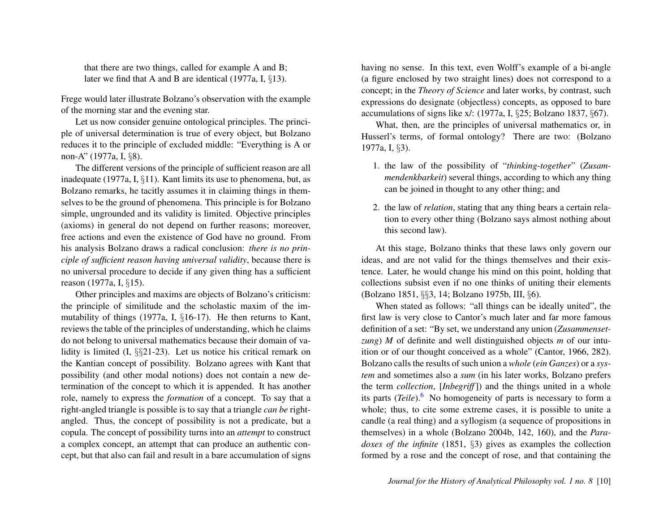that there are two things, called for example A and B; later we find that A and B are identical (1977a, I, §13).

Frege would later illustrate Bolzano's observation with the example of the morning star and the evening star.

Let us now consider genuine ontological principles. The principle of universal determination is true of every object, but Bolzano reduces it to the principle of excluded middle: "Everything is A or non-A" (1977a, I, §8).

The different versions of the principle of sufficient reason are all inadequate (1977a, I, §11). Kant limits its use to phenomena, but, as Bolzano remarks, he tacitly assumes it in claiming things in themselves to be the ground of phenomena. This principle is for Bolzano simple, ungrounded and its validity is limited. Objective principles (axioms) in general do not depend on further reasons; moreover, free actions and even the existence of God have no ground. From his analysis Bolzano draws a radical conclusion: *there is no principle of sufficient reason having universal validity*, because there is no universal procedure to decide if any given thing has a sufficient reason (1977a, I, §15).

Other principles and maxims are objects of Bolzano's criticism: the principle of similitude and the scholastic maxim of the immutability of things (1977a, I, §16-17). He then returns to Kant, reviews the table of the principles of understanding, which he claims do not belong to universal mathematics because their domain of validity is limited (I, §§21-23). Let us notice his critical remark on the Kantian concept of possibility. Bolzano agrees with Kant that possibility (and other modal notions) does not contain a new determination of the concept to which it is appended. It has another role, namely to express the *formation* of a concept. To say that a right-angled triangle is possible is to say that a triangle *can be* rightangled. Thus, the concept of possibility is not a predicate, but a copula. The concept of possibility turns into an *attempt* to construct a complex concept, an attempt that can produce an authentic concept, but that also can fail and result in a bare accumulation of signs

having no sense. In this text, even Wolff's example of a bi-angle (a figure enclosed by two straight lines) does not correspond to a concept; in the *Theory of Science* and later works, by contrast, such expressions do designate (objectless) concepts, as opposed to bare accumulations of signs like x/: (1977a, I, §25; Bolzano 1837, §67).

What, then, are the principles of universal mathematics or, in Husserl's terms, of formal ontology? There are two: (Bolzano 1977a, I, §3).

- 1. the law of the possibility of "*thinking-together*" (*Zusammendenkbarkeit*) several things, according to which any thing can be joined in thought to any other thing; and
- 2. the law of *relation*, stating that any thing bears a certain relation to every other thing (Bolzano says almost nothing about this second law).

At this stage, Bolzano thinks that these laws only govern our ideas, and are not valid for the things themselves and their existence. Later, he would change his mind on this point, holding that collections subsist even if no one thinks of uniting their elements (Bolzano 1851, §§3, 14; Bolzano 1975b, III, §6).

<span id="page-10-0"></span>When stated as follows: "all things can be ideally united", the first law is very close to Cantor's much later and far more famous definition of a set: "By set, we understand any union (*Zusammensetzung*) *M* of definite and well distinguished objects *m* of our intuition or of our thought conceived as a whole" (Cantor, 1966, 282). Bolzano calls the results of such union a *whole* (*ein Ganzes*) or a *system* and sometimes also a *sum* (in his later works, Bolzano prefers the term *collection*, [*Inbegriff*]) and the things united in a whole its parts (*Teile*).<sup>[6](#page-12-5)</sup> No homogeneity of parts is necessary to form a whole; thus, to cite some extreme cases, it is possible to unite a candle (a real thing) and a syllogism (a sequence of propositions in themselves) in a whole (Bolzano 2004b, 142, 160), and the *Paradoxes of the infinite* (1851, §3) gives as examples the collection formed by a rose and the concept of rose, and that containing the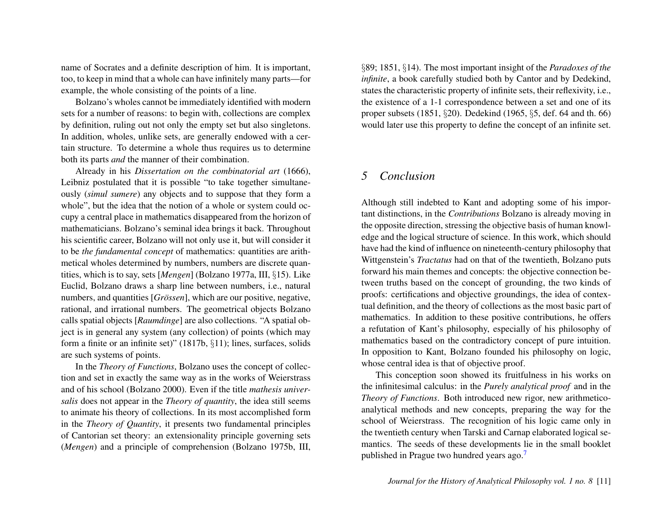name of Socrates and a definite description of him. It is important, too, to keep in mind that a whole can have infinitely many parts—for example, the whole consisting of the points of a line.

Bolzano's wholes cannot be immediately identified with modern sets for a number of reasons: to begin with, collections are complex by definition, ruling out not only the empty set but also singletons. In addition, wholes, unlike sets, are generally endowed with a certain structure. To determine a whole thus requires us to determine both its parts *and* the manner of their combination.

Already in his *Dissertation on the combinatorial art* (1666), Leibniz postulated that it is possible "to take together simultaneously (*simul sumere*) any objects and to suppose that they form a whole", but the idea that the notion of a whole or system could occupy a central place in mathematics disappeared from the horizon of mathematicians. Bolzano's seminal idea brings it back. Throughout his scientific career, Bolzano will not only use it, but will consider it to be *the fundamental concept* of mathematics: quantities are arithmetical wholes determined by numbers, numbers are discrete quantities, which is to say, sets [*Mengen*] (Bolzano 1977a, III, §15). Like Euclid, Bolzano draws a sharp line between numbers, i.e., natural numbers, and quantities [*Grössen*], which are our positive, negative, rational, and irrational numbers. The geometrical objects Bolzano calls spatial objects [*Raumdinge*] are also collections. "A spatial object is in general any system (any collection) of points (which may form a finite or an infinite set)" (1817b, §11); lines, surfaces, solids are such systems of points.

In the *Theory of Functions*, Bolzano uses the concept of collection and set in exactly the same way as in the works of Weierstrass and of his school (Bolzano 2000). Even if the title *mathesis universalis* does not appear in the *Theory of quantity*, the idea still seems to animate his theory of collections. In its most accomplished form in the *Theory of Quantity*, it presents two fundamental principles of Cantorian set theory: an extensionality principle governing sets (*Mengen*) and a principle of comprehension (Bolzano 1975b, III, §89; 1851, §14). The most important insight of the *Paradoxes of the infinite*, a book carefully studied both by Cantor and by Dedekind, states the characteristic property of infinite sets, their reflexivity, i.e., the existence of a 1-1 correspondence between a set and one of its proper subsets (1851, §20). Dedekind (1965, §5, def. 64 and th. 66) would later use this property to define the concept of an infinite set.

#### *5 Conclusion*

Although still indebted to Kant and adopting some of his important distinctions, in the *Contributions* Bolzano is already moving in the opposite direction, stressing the objective basis of human knowledge and the logical structure of science. In this work, which should have had the kind of influence on nineteenth-century philosophy that Wittgenstein's *Tractatus* had on that of the twentieth, Bolzano puts forward his main themes and concepts: the objective connection between truths based on the concept of grounding, the two kinds of proofs: certifications and objective groundings, the idea of contextual definition, and the theory of collections as the most basic part of mathematics. In addition to these positive contributions, he offers a refutation of Kant's philosophy, especially of his philosophy of mathematics based on the contradictory concept of pure intuition. In opposition to Kant, Bolzano founded his philosophy on logic, whose central idea is that of objective proof.

<span id="page-11-0"></span>This conception soon showed its fruitfulness in his works on the infinitesimal calculus: in the *Purely analytical proof* and in the *Theory of Functions*. Both introduced new rigor, new arithmeticoanalytical methods and new concepts, preparing the way for the school of Weierstrass. The recognition of his logic came only in the twentieth century when Tarski and Carnap elaborated logical semantics. The seeds of these developments lie in the small booklet published in Prague two hundred years ago.[7](#page-12-6)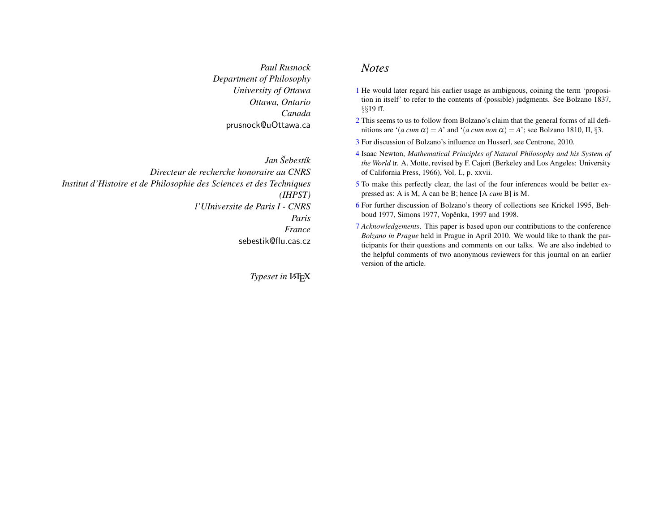*Paul Rusnock Department of Philosophy University of Ottawa Ottawa, Ontario Canada* prusnock@uOttawa.ca

*Jan Šebestík Directeur de recherche honoraire au CNRS Institut d'Histoire et de Philosophie des Sciences et des Techniques (IHPST) l'UIniversite de Paris I - CNRS Paris France* sebestik@flu.cas.cz

**Typeset in LATEX** 

#### *Notes*

- <span id="page-12-0"></span>[1](#page-1-0) He would later regard his earlier usage as ambiguous, coining the term 'proposition in itself' to refer to the contents of (possible) judgments. See Bolzano 1837, §§19 ff.
- <span id="page-12-1"></span>[2](#page-1-1) This seems to us to follow from Bolzano's claim that the general forms of all definitions are ' $(a \text{ cum } \alpha) = A$ ' and ' $(a \text{ cum non } \alpha) = A$ '; see Bolzano 1810, II,  $\S 3$ .
- <span id="page-12-2"></span>[3](#page-3-0) For discussion of Bolzano's influence on Husserl, see Centrone, 2010.
- <span id="page-12-3"></span>[4](#page-8-0) Isaac Newton, *Mathematical Principles of Natural Philosophy and his System of the World* tr. A. Motte, revised by F. Cajori (Berkeley and Los Angeles: University of California Press, 1966), Vol. I., p. xxvii.
- <span id="page-12-4"></span>[5](#page-9-0) To make this perfectly clear, the last of the four inferences would be better expressed as: A is M, A can be B; hence [A *cum* B] is M.
- <span id="page-12-5"></span>[6](#page-10-0) For further discussion of Bolzano's theory of collections see Krickel 1995, Behboud 1977, Simons 1977, Vopěnka, 1997 and 1998.
- <span id="page-12-6"></span>[7](#page-11-0) *Acknowledgements*. This paper is based upon our contributions to the conference *Bolzano in Prague* held in Prague in April 2010. We would like to thank the participants for their questions and comments on our talks. We are also indebted to the helpful comments of two anonymous reviewers for this journal on an earlier version of the article.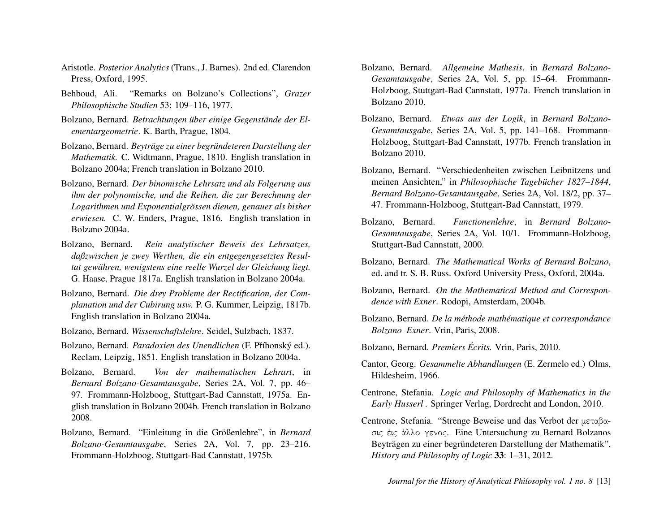- Aristotle. *Posterior Analytics* (Trans., J. Barnes). 2nd ed. Clarendon Press, Oxford, 1995.
- Behboud, Ali. "Remarks on Bolzano's Collections", *Grazer Philosophische Studien* 53: 109–116, 1977.
- Bolzano, Bernard. *Betrachtungen über einige Gegenstände der Elementargeometrie*. K. Barth, Prague, 1804.
- Bolzano, Bernard. *Beyträge zu einer begründeteren Darstellung der Mathematik.* C. Widtmann, Prague, 1810. English translation in Bolzano 2004a; French translation in Bolzano 2010.
- Bolzano, Bernard. *Der binomische Lehrsatz und als Folgerung aus ihm der polynomische, und die Reihen, die zur Berechnung der Logarithmen und Exponentialgrössen dienen, genauer als bisher erwiesen.* C. W. Enders, Prague, 1816. English translation in Bolzano 2004a.
- Bolzano, Bernard. *Rein analytischer Beweis des Lehrsatzes, daßzwischen je zwey Werthen, die ein entgegengesetztes Resultat gewahren, wenigstens eine reelle Wurzel der Gleichung liegt. ¨* G. Haase, Prague 1817a. English translation in Bolzano 2004a.
- Bolzano, Bernard. *Die drey Probleme der Rectification, der Complanation und der Cubirung usw.* P. G. Kummer, Leipzig, 1817b. English translation in Bolzano 2004a.
- Bolzano, Bernard. *Wissenschaftslehre*. Seidel, Sulzbach, 1837.
- Bolzano, Bernard. *Paradoxien des Unendlichen* (F. Příhonský ed.). Reclam, Leipzig, 1851. English translation in Bolzano 2004a.
- Bolzano, Bernard. *Von der mathematischen Lehrart*, in *Bernard Bolzano-Gesamtausgabe*, Series 2A, Vol. 7, pp. 46– 97. Frommann-Holzboog, Stuttgart-Bad Cannstatt, 1975a. English translation in Bolzano 2004b. French translation in Bolzano 2008.
- Bolzano, Bernard. "Einleitung in die Größenlehre", in *Bernard Bolzano-Gesamtausgabe*, Series 2A, Vol. 7, pp. 23–216. Frommann-Holzboog, Stuttgart-Bad Cannstatt, 1975b.
- Bolzano, Bernard. *Allgemeine Mathesis*, in *Bernard Bolzano-Gesamtausgabe*, Series 2A, Vol. 5, pp. 15–64. Frommann-Holzboog, Stuttgart-Bad Cannstatt, 1977a. French translation in Bolzano 2010.
- Bolzano, Bernard. *Etwas aus der Logik*, in *Bernard Bolzano-Gesamtausgabe*, Series 2A, Vol. 5, pp. 141–168. Frommann-Holzboog, Stuttgart-Bad Cannstatt, 1977b. French translation in Bolzano 2010.
- Bolzano, Bernard. "Verschiedenheiten zwischen Leibnitzens und meinen Ansichten," in *Philosophische Tagebücher 1827–1844*, *Bernard Bolzano-Gesamtausgabe*, Series 2A, Vol. 18/2, pp. 37– 47. Frommann-Holzboog, Stuttgart-Bad Cannstatt, 1979.
- Bolzano, Bernard. *Functionenlehre*, in *Bernard Bolzano-Gesamtausgabe*, Series 2A, Vol. 10/1. Frommann-Holzboog, Stuttgart-Bad Cannstatt, 2000.
- Bolzano, Bernard. *The Mathematical Works of Bernard Bolzano*, ed. and tr. S. B. Russ. Oxford University Press, Oxford, 2004a.
- Bolzano, Bernard. *On the Mathematical Method and Correspondence with Exner*. Rodopi, Amsterdam, 2004b.
- Bolzano, Bernard. *De la méthode mathématique et correspondance Bolzano–Exner*. Vrin, Paris, 2008.
- Bolzano, Bernard. *Premiers Ecrits. ´* Vrin, Paris, 2010.
- Cantor, Georg. *Gesammelte Abhandlungen* (E. Zermelo ed.) Olms, Hildesheim, 1966.
- Centrone, Stefania. *Logic and Philosophy of Mathematics in the Early Husserl .* Springer Verlag, Dordrecht and London, 2010.
- Centrone, Stefania. "Strenge Beweise und das Verbot der μεταβασις ᾿εις ᾿αλλο γενος. Eine Untersuchung zu Bernard Bolzanos Beyträgen zu einer begründeteren Darstellung der Mathematik", *History and Philosophy of Logic* 33: 1–31, 2012.